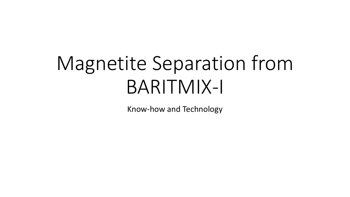# Magnetite Separation from BARITMIX-I

Know-how and Technology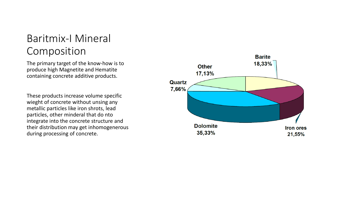### Baritmix-I Mineral Composition

The primary target of the know-how is to produce high Magnetite and Hematite containing concrete additive products.

These products increase volume specific wieght of concrete without unsing any metallic particles like iron shrots, lead particles, other minderal that do nto integrate into the concrete structure and their distribution may get inhomogenerous during processing of concrete.

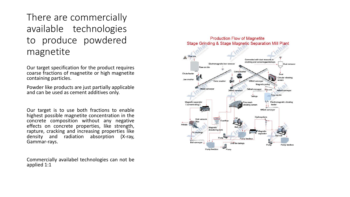#### There are commercially available technologies to produce powdered magnetite

Our target specification for the product requires coarse fractions of magnetite or high magnetite containing particles.

Powder like products are just partially applicable and can be used as cement additives only.

Our target is to use both fractions to enable highest possible magnetite concentration in the concrete composition without any negative effects on concrete properties, like strength, rapture, cracking and increasing properties like density and radiation absorption (X-ray, Gammar-rays.

Commercially availabel technologies can not be applied 1:1

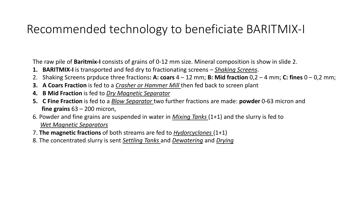## Recommended technology to beneficiate BARITMIX-I

The raw pile of **Baritmix-I** consists of grains of 0-12 mm size. Mineral composition is show in slide 2.

- **1. BARITMIX-I** is transported and fed dry to fractionating screens *Shaking Screens*.
- 2. Shaking Screens prpduce three fractions**: A: coars** 4 12 mm; **B: Mid fraction** 0,2 4 mm; **C: fines** 0 0,2 mm;
- **3. A Coars Fraction** is fed to a *Crasher or Hammer Mill* then fed back to screen plant
- **4. B Mid Fraction** is fed to *Dry Magnetic Separator*
- **5. C Fine Fraction** is fed to a *Blow Separator* two further fractions are made: **powder** 0-63 micron and **fine grains** 63 – 200 micron,
- 6. Powder and fine grains are suspended in water in *Mixing Tanks* (1+1) and the slurry is fed to *Wet Magnetic Separators*
- 7. **The magnetic fractions** of both streams are fed to *Hydorcyclones* (1+1)
- 8. The concentrated slurry is sent *Settling Tanks* and *Dewatering* and *Drying*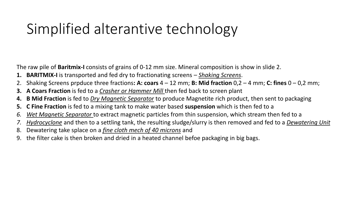## Simplified alterantive technology

The raw pile of **Baritmix-I** consists of grains of 0-12 mm size. Mineral composition is show in slide 2.

- **1. BARITMIX-I** is transported and fed dry to fractionating screens *Shaking Screens*.
- 2. Shaking Screens prpduce three fractions**: A: coars** 4 12 mm; **B: Mid fraction** 0,2 4 mm; **C: fines** 0 0,2 mm;
- **3. A Coars Fraction** is fed to a *Crasher or Hammer Mill* then fed back to screen plant
- **4. B Mid Fraction** is fed to *Dry Magnetic Separator* to produce Magnetite rich product, then sent to packaging
- **5. C Fine Fraction** is fed to a mixing tank to make water based **suspension** which is then fed to a
- *6. Wet Magnetic Separator* to extract magnetic particles from thin suspension, which stream then fed to a
- *7. Hydrocyclone* and then to a settling tank, the resulting sludge/slurry is then removed and fed to a *Dewatering Unit*
- 8. Dewatering take splace on a *fine cloth mech of 40 microns* and
- 9. the filter cake is then broken and dried in a heated channel befoe packaging in big bags.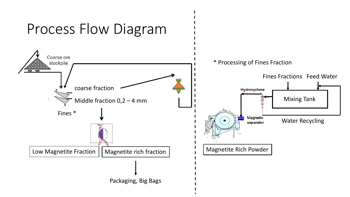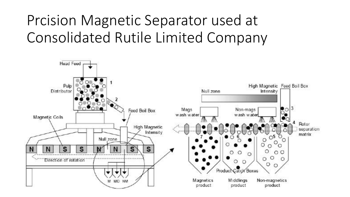# Prcision Magnetic Separator used at Consolidated Rutile Limited Company